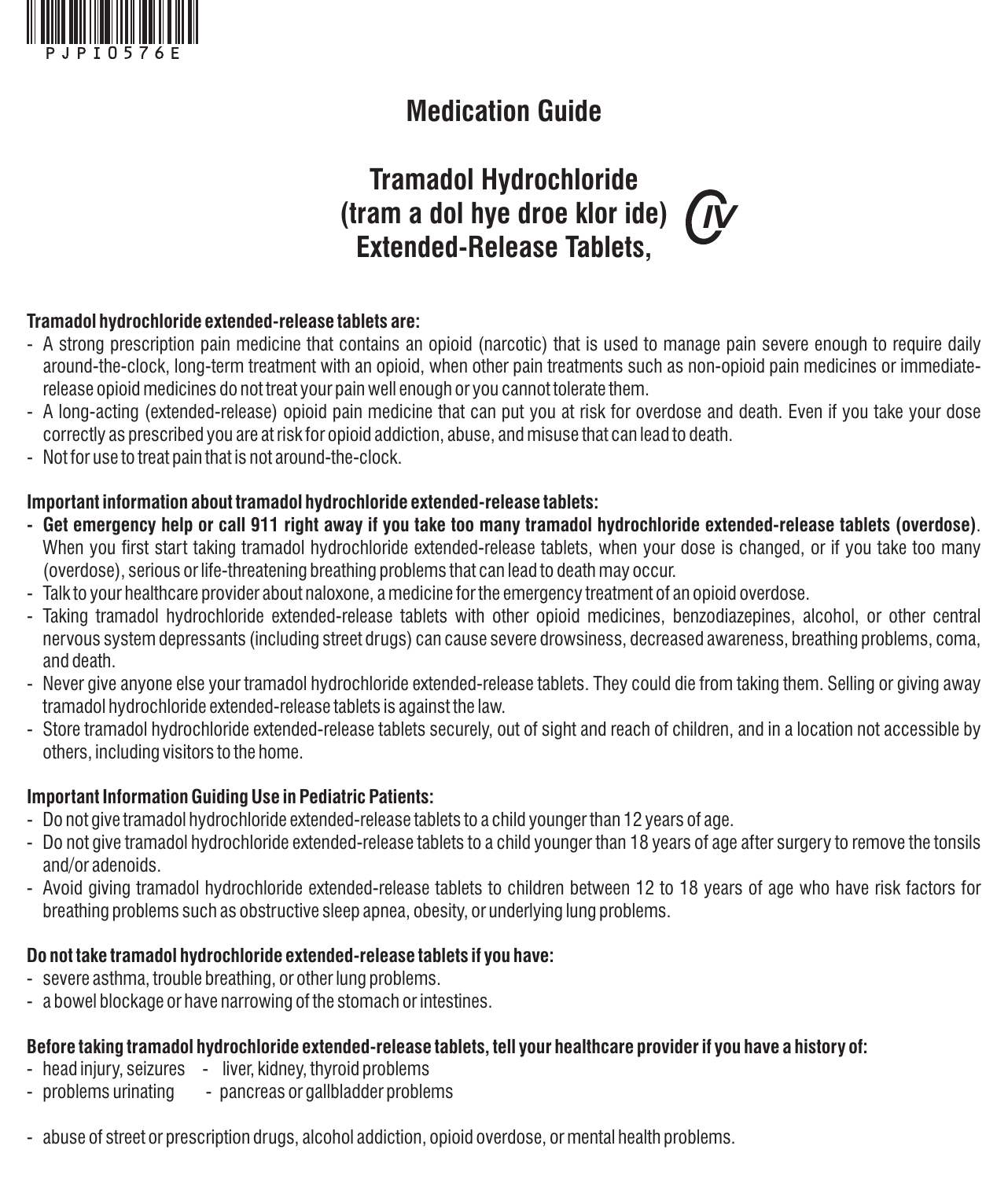

# **Medication Guide**

# **Tramadol Hydrochloride (tram a dol hye droe klor ide)**  *IV***Extended-Release Tablets,**

#### **Tramadol hydrochloride extended-release tablets are:**

- A strong prescription pain medicine that contains an opioid (narcotic) that is used to manage pain severe enough to require daily around-the-clock, long-term treatment with an opioid, when other pain treatments such as non-opioid pain medicines or immediaterelease opioid medicines do not treat your pain well enough or you cannot tolerate them.
- A long-acting (extended-release) opioid pain medicine that can put you at risk for overdose and death. Even if you take your dose correctly as prescribed you are at risk for opioid addiction, abuse, and misuse that can lead to death.
- Not for use to treat pain that is not around-the-clock.

#### **Important information about tramadol hydrochloride extended-release tablets:**

- **- Get emergency help or call 911 right away if you take too many tramadol hydrochloride extended-release tablets (overdose)**. When you first start taking tramadol hydrochloride extended-release tablets, when your dose is changed, or if you take too many (overdose), serious or life-threatening breathing problems that can lead to death may occur.
- Talk to your healthcare provider about naloxone, a medicine for the emergency treatment of an opioid overdose.
- Taking tramadol hydrochloride extended-release tablets with other opioid medicines, benzodiazepines, alcohol, or other central nervous system depressants (including street drugs) can cause severe drowsiness, decreased awareness, breathing problems, coma, and death.
- Never give anyone else your tramadol hydrochloride extended-release tablets. They could die from taking them. Selling or giving awav tramadol hydrochloride extended-release tablets is against the law.
- Store tramadol hydrochloride extended-release tablets securely, out of sight and reach of children, and in a location not accessible by others, including visitors to the home.

#### **Important Information Guiding Use in Pediatric Patients:**

- Do not give tramadol hydrochloride extended-release tablets to a child younger than 12 years of age.
- Do not give tramadol hydrochloride extended-release tablets to a child younger than 18 years of age after surgery to remove the tonsils and/or adenoids.
- Avoid giving tramadol hydrochloride extended-release tablets to children between 12 to 18 years of age who have risk factors for breathing problems such as obstructive sleep apnea, obesity, or underlying lung problems.

### **Do not take tramadol hydrochloride extended-release tablets if you have:**

- severe asthma, trouble breathing, or other lung problems.
- a bowel blockage or have narrowing of the stomach or intestines.

### **Before taking tramadol hydrochloride extended-release tablets, tell your healthcare provider if you have a history of:**

- head injury, seizures liver, kidney, thyroid problems
- problems urinating pancreas or gallbladder problems
- abuse of street or prescription drugs, alcohol addiction, opioid overdose, or mental health problems.